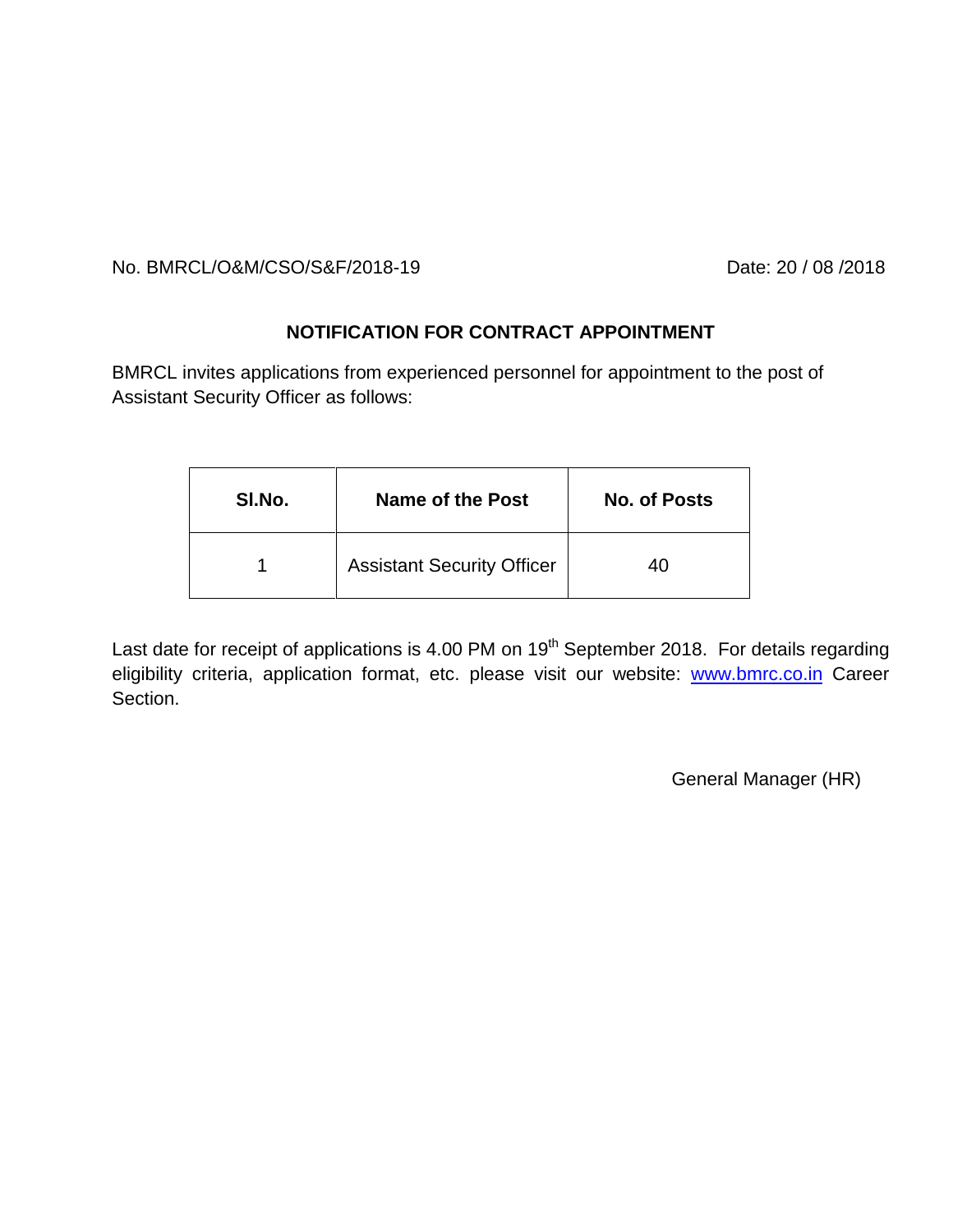No. BMRCL/O&M/CSO/S&F/2018-19 Date: 20 / 08 /2018

## **NOTIFICATION FOR CONTRACT APPOINTMENT**

BMRCL invites applications from experienced personnel for appointment to the post of Assistant Security Officer as follows:

| SI.No. | Name of the Post                  | <b>No. of Posts</b> |
|--------|-----------------------------------|---------------------|
|        | <b>Assistant Security Officer</b> | 40                  |

Last date for receipt of applications is 4.00 PM on  $19<sup>th</sup>$  September 2018. For details regarding eligibility criteria, application format, etc. please visit our website: [www.bmrc.co.in](http://www.bmrc.co.in/) Career Section.

General Manager (HR)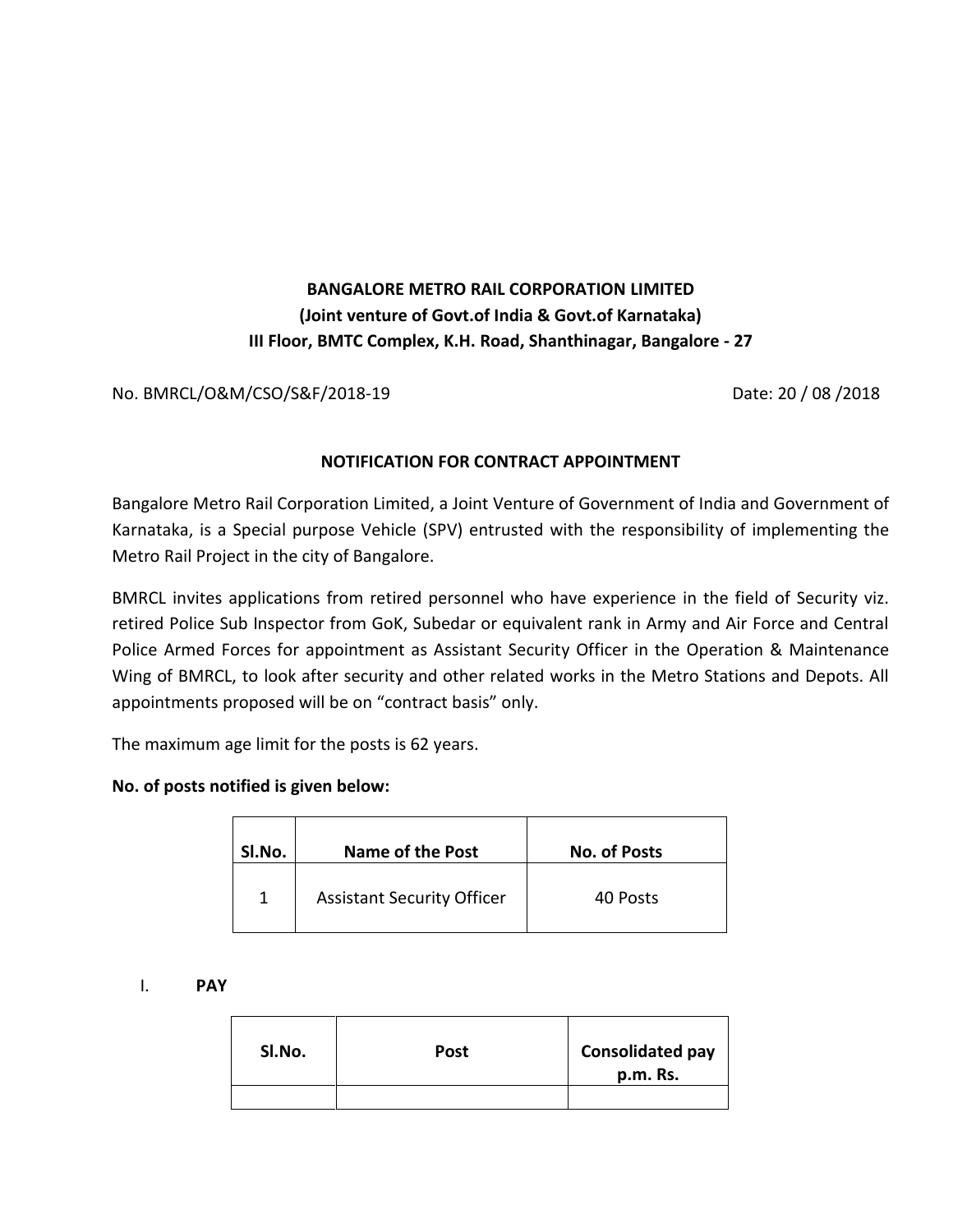# **BANGALORE METRO RAIL CORPORATION LIMITED (Joint venture of Govt.of India & Govt.of Karnataka) III Floor, BMTC Complex, K.H. Road, Shanthinagar, Bangalore - 27**

No. BMRCL/O&M/CSO/S&F/2018-19 Date: 20 / 08 /2018

## **NOTIFICATION FOR CONTRACT APPOINTMENT**

Bangalore Metro Rail Corporation Limited, a Joint Venture of Government of India and Government of Karnataka, is a Special purpose Vehicle (SPV) entrusted with the responsibility of implementing the Metro Rail Project in the city of Bangalore.

BMRCL invites applications from retired personnel who have experience in the field of Security viz. retired Police Sub Inspector from GoK, Subedar or equivalent rank in Army and Air Force and Central Police Armed Forces for appointment as Assistant Security Officer in the Operation & Maintenance Wing of BMRCL, to look after security and other related works in the Metro Stations and Depots. All appointments proposed will be on "contract basis" only.

The maximum age limit for the posts is 62 years.

#### **No. of posts notified is given below:**

| SI.No. | <b>Name of the Post</b>           | <b>No. of Posts</b> |
|--------|-----------------------------------|---------------------|
| 1      | <b>Assistant Security Officer</b> | 40 Posts            |

I. **PAY**

| SI.No. | Post | <b>Consolidated pay</b><br>p.m. Rs. |
|--------|------|-------------------------------------|
|        |      |                                     |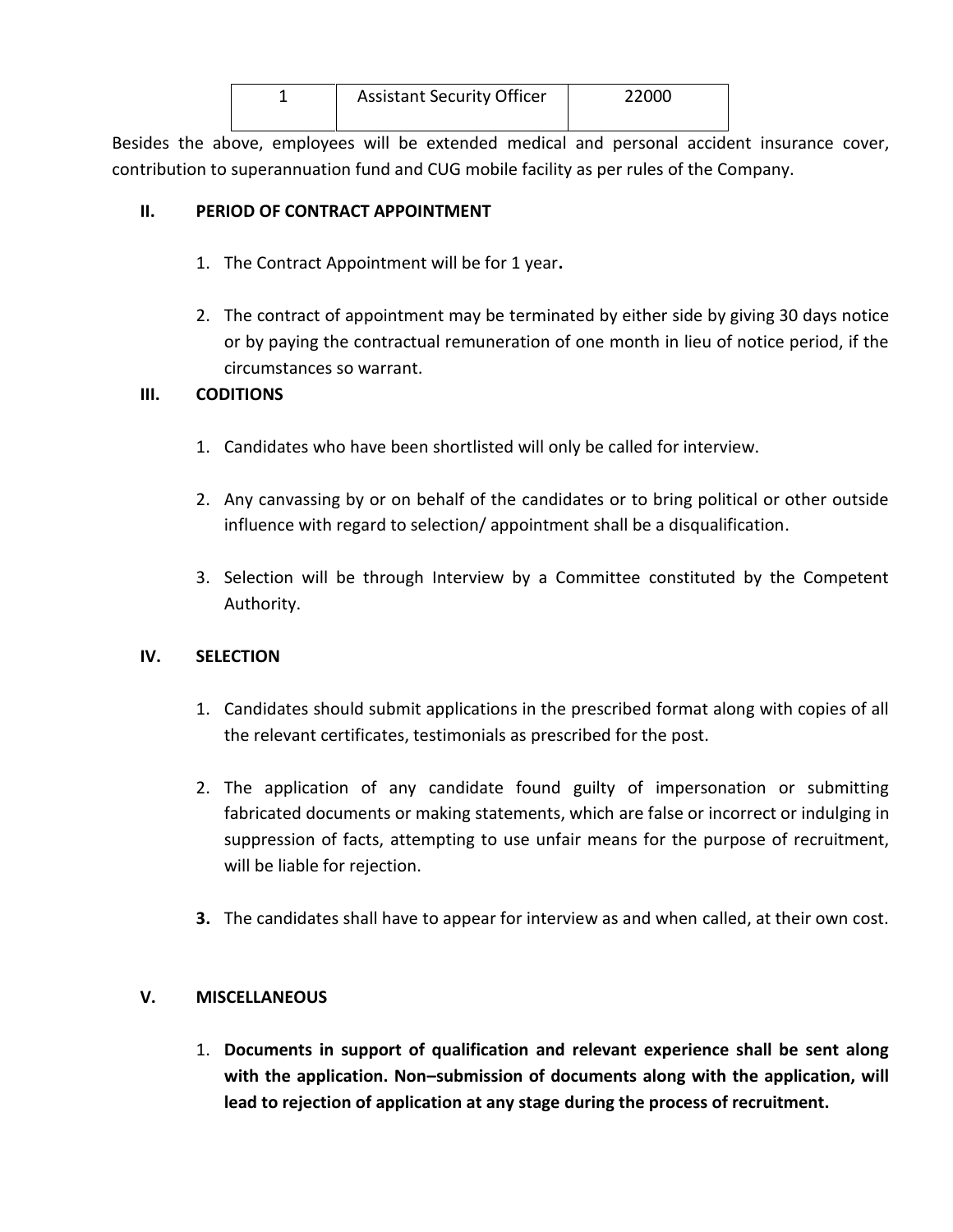| <b>Assistant Security Officer</b> | 22000 |
|-----------------------------------|-------|
|                                   |       |

Besides the above, employees will be extended medical and personal accident insurance cover, contribution to superannuation fund and CUG mobile facility as per rules of the Company.

## **II. PERIOD OF CONTRACT APPOINTMENT**

- 1. The Contract Appointment will be for 1 year**.**
- 2. The contract of appointment may be terminated by either side by giving 30 days notice or by paying the contractual remuneration of one month in lieu of notice period, if the circumstances so warrant.

## **III. CODITIONS**

- 1. Candidates who have been shortlisted will only be called for interview.
- 2. Any canvassing by or on behalf of the candidates or to bring political or other outside influence with regard to selection/ appointment shall be a disqualification.
- 3. Selection will be through Interview by a Committee constituted by the Competent Authority.

#### **IV. SELECTION**

- 1. Candidates should submit applications in the prescribed format along with copies of all the relevant certificates, testimonials as prescribed for the post.
- 2. The application of any candidate found guilty of impersonation or submitting fabricated documents or making statements, which are false or incorrect or indulging in suppression of facts, attempting to use unfair means for the purpose of recruitment, will be liable for rejection.
- **3.** The candidates shall have to appear for interview as and when called, at their own cost.

## **V. MISCELLANEOUS**

1. **Documents in support of qualification and relevant experience shall be sent along with the application. Non–submission of documents along with the application, will lead to rejection of application at any stage during the process of recruitment.**